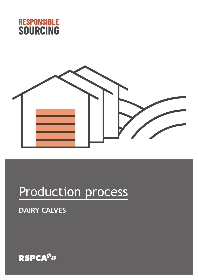



# Production process

### **DAIRY CALVES**

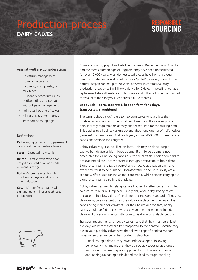## Production process **DAIRY CALVES**

## SOURCING

#### Animal welfare considerations

- Colostrum management
- Cow-calf separation
- Frequency and quantity of milk feeds
- Husbandry procedures such as disbudding and castration without pain management
- Individual housing of calves
- Killing or slaughter method
- Transport at young age

#### Definitions

**Calf** – Young cattle with no permanent incisor teeth, either male or female.

**Steer** – Castrated male cattle.

**Heifer** – Female cattle who have not yet produced a calf and under 42 months of age.

**Bull** – Mature male cattle with intact sexual organs and capable of reproduction.

**Cow** – Mature female cattle with eight permanent incisor teeth used for breeding.



Cows are curious, playful and intelligent animals. Descended from Aurochs and the most common type of ungulate, they have been domesticated for over 10,000 years. Most domesticated breeds have horns, although breeding strategies have allowed for more 'polled' (hornless) cows. A cow's natural lifespan can be up to 20 years, however in commercial dairy production a bobby calf will likely only live for 5 days. If the calf is kept as a replacement she will likely live up to 8 years and if the calf is kept and raised for veal/beef then they will live between 6–22 months.

#### **Bobby calf – born, separated, kept on farm for 5 days, transported, slaughtered**

The term 'bobby calves' refers to newborn calves who are less than 30 days old and not with their mothers. Essentially, they are surplus to dairy industry requirements as they are not required for the milking herd. This applies to all bull calves (males) and about one quarter of heifer calves (females) born each year. And, each year, around 450,000 of these bobby calves are destined for slaughter.

Bobby calves may also be killed on farm. This may be done using a captive bolt device or blunt force trauma. Blunt force trauma is not acceptable for killing young calves due to the calf's skull being too hard to achieve immediate unconsciousness through destruction of brain tissue. Blunt force trauma relies on correct and effective application each and every time for it to be humane. Operator fatigue and unreliability are a serious welfare issue for the animal concerned, while persons carrying out blunt force trauma also find it unpleasant.

Bobby calves destined for slaughter are housed together on farm and fed colostrum, milk or milk replacer, usually only once a day. Bobby calves, because of their low value, often do not get the same standard of housing, cleanliness, care or attention as the valuable replacement heifers or the calves being reared for veal/beef. For their health and welfare, bobby calves should be fed at least twice a day and be housed in sheltered, clean and dry environments with room to lie down on suitable bedding.

Transport requirements for bobby calves state that they must be at least five days old before they can be transported to the abattoir. Because they are so young, bobby calves have the following specific animal welfare issues when they are being transported to slaughter:

– Like all young animals, they have underdeveloped 'following' behaviour, which means that they do not stay together as a group and move to where they are supposed to go. This makes moving and loading/unloading difficult and can lead to rough handling.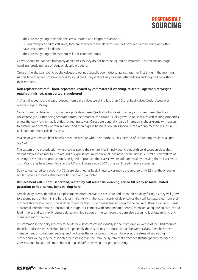

- They are too young to handle the stress, motion and length of transport.
- During transport and at calf sales, they are exposed to the elements, are not provided with bedding and often have little room to lie down.
- They are too young to be without milk for extended times.

Calves should be handled humanely at all times so they do not become injured or distressed. This means no rough handling, prodding, use of dogs or electric prodders.

Once at the abattoir, young bobby calves are penned (usually overnight) to await slaughter first thing in the morning. All this time they will not have access to liquid feed, they will not be provided with bedding and they will be without their mothers.

#### **Non-replacement calf – born, separated, reared by calf rearer till weaning, raised till age/market weight required, finished, transported, slaughtered**

In Australia, veal is the meat produced from dairy calves weighing less than 70kg or beef calves (vealers/weaners) weighing up to 150kg.

Calves from the dairy industry may be a pure dairy breed (such as a Holstein) or a dairy cross beef breed (such as Holstein/Angus). After being separated from their mother, the calves usually grow up on specialist calf-rearing properties unless the dairy farmer has facilities for rearing calves. Calves are generally reared in groups in sheds (some with access to pasture) and fed milk or milk replacer and then a grain-based ration. This specialist calf-rearing method results in pink-coloured meat called rose veal.

Vealers or weaners are beef breeds raised on pasture with their mothers. This method of calf rearing results in a light red veal.

The system of veal production where calves spend their entire lives in individual crates with solid wooden sides that do not allow the animal to turn around or express natural behaviours, has never been used in Australia. This system of housing calves for veal production is designed to produce the 'classic' white-coloured veal by denying the calf access to iron. Veal crates have been illegal in the UK and Europe since 2007 but are still used in some countries.

Dairy calves reared to a weight > 70kg are classified as beef. These calves may be reared up until 22 months of age in similar systems to beef cattle before finishing and slaughter.

#### **Replacement calf – born, separated, reared by calf rearer till weaning, raised till ready to mate, mated, gestation period, calves, joins milking herd**

Female dairy calves identified as replacements often receive the best care and attention on dairy farms, as they will grow to become part of the milking herd later in life. As with the vast majority of dairy calves they will be separated from their mothers shortly after birth. This is done to reduce the risk of disease transmission to the calf (e.g. Bovine Johne's Disease, a bacterial infection that is transmitted through calf contact with contaminated feces), to ensure adequate colostrum and feed intake, and to simplify disease detection. Separation of the calf from the dam also occurs to facilitate milking and management of the cow.

It is common in the dairy industry to house new-born calves individually in their first days or weeks of life. This reduces the risk of disease transmission, because generally there is no nose-to-nose contact between calves, it enables close management of colostrum feeding, and facilitates the initial care of the calf. However, the stress of separating mother and young may be associated with changes in the immune system that affect health/susceptibility to disease. Calves should be at a minimum housed in pairs before moving into group housing.